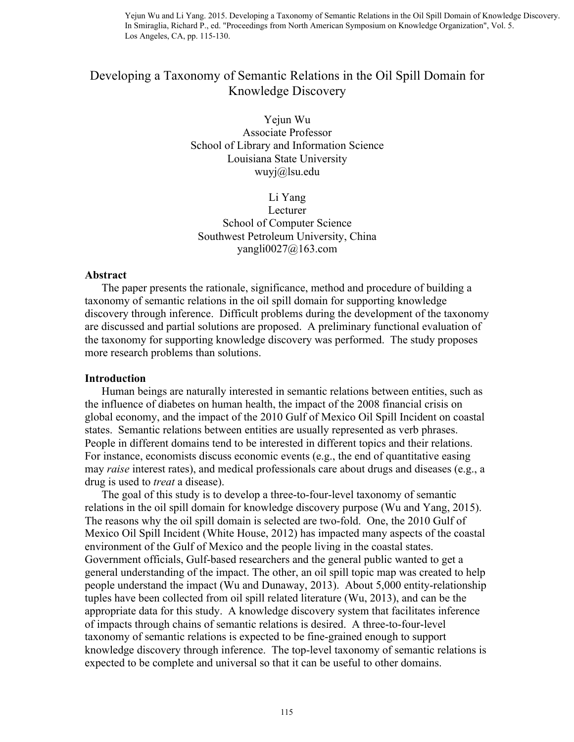# Developing a Taxonomy of Semantic Relations in the Oil Spill Domain for Knowledge Discovery

Yejun Wu Associate Professor School of Library and Information Science Louisiana State University wuyj@lsu.edu

Li Yang Lecturer School of Computer Science Southwest Petroleum University, China yangli $0027@163$ .com

### **Abstract**

 The paper presents the rationale, significance, method and procedure of building a taxonomy of semantic relations in the oil spill domain for supporting knowledge discovery through inference. Difficult problems during the development of the taxonomy are discussed and partial solutions are proposed. A preliminary functional evaluation of the taxonomy for supporting knowledge discovery was performed. The study proposes more research problems than solutions.

#### **Introduction**

 Human beings are naturally interested in semantic relations between entities, such as the influence of diabetes on human health, the impact of the 2008 financial crisis on global economy, and the impact of the 2010 Gulf of Mexico Oil Spill Incident on coastal states. Semantic relations between entities are usually represented as verb phrases. People in different domains tend to be interested in different topics and their relations. For instance, economists discuss economic events (e.g., the end of quantitative easing may *raise* interest rates), and medical professionals care about drugs and diseases (e.g., a drug is used to *treat* a disease).

 The goal of this study is to develop a three-to-four-level taxonomy of semantic relations in the oil spill domain for knowledge discovery purpose (Wu and Yang, 2015). The reasons why the oil spill domain is selected are two-fold. One, the 2010 Gulf of Mexico Oil Spill Incident (White House, 2012) has impacted many aspects of the coastal environment of the Gulf of Mexico and the people living in the coastal states. Government officials, Gulf-based researchers and the general public wanted to get a general understanding of the impact. The other, an oil spill topic map was created to help people understand the impact (Wu and Dunaway, 2013). About 5,000 entity-relationship tuples have been collected from oil spill related literature (Wu, 2013), and can be the appropriate data for this study. A knowledge discovery system that facilitates inference of impacts through chains of semantic relations is desired. A three-to-four-level taxonomy of semantic relations is expected to be fine-grained enough to support knowledge discovery through inference. The top-level taxonomy of semantic relations is expected to be complete and universal so that it can be useful to other domains.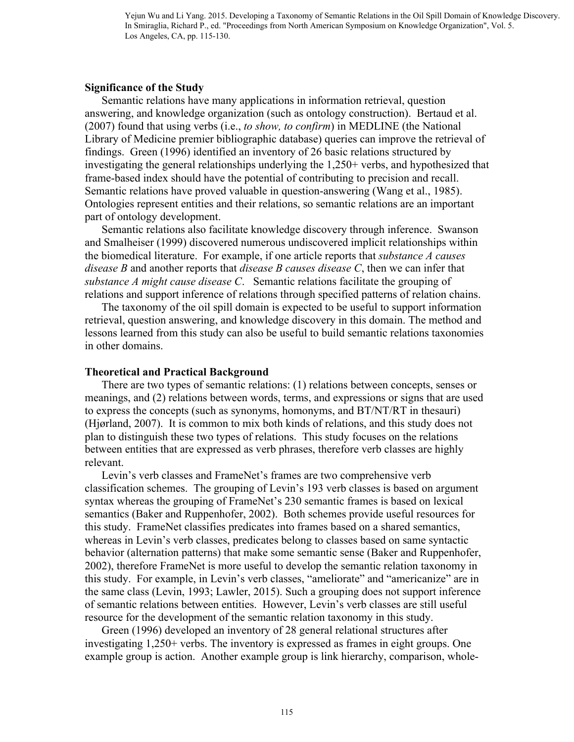# **Significance of the Study**

 Semantic relations have many applications in information retrieval, question answering, and knowledge organization (such as ontology construction). Bertaud et al. (2007) found that using verbs (i.e., *to show, to confirm*) in MEDLINE (the National Library of Medicine premier bibliographic database) queries can improve the retrieval of findings. Green (1996) identified an inventory of 26 basic relations structured by investigating the general relationships underlying the 1,250+ verbs, and hypothesized that frame-based index should have the potential of contributing to precision and recall. Semantic relations have proved valuable in question-answering (Wang et al., 1985). Ontologies represent entities and their relations, so semantic relations are an important part of ontology development.

 Semantic relations also facilitate knowledge discovery through inference. Swanson and Smalheiser (1999) discovered numerous undiscovered implicit relationships within the biomedical literature. For example, if one article reports that *substance A causes disease B* and another reports that *disease B causes disease C*, then we can infer that *substance A might cause disease C*. Semantic relations facilitate the grouping of relations and support inference of relations through specified patterns of relation chains.

 The taxonomy of the oil spill domain is expected to be useful to support information retrieval, question answering, and knowledge discovery in this domain. The method and lessons learned from this study can also be useful to build semantic relations taxonomies in other domains.

### **Theoretical and Practical Background**

 There are two types of semantic relations: (1) relations between concepts, senses or meanings, and (2) relations between words, terms, and expressions or signs that are used to express the concepts (such as synonyms, homonyms, and BT/NT/RT in thesauri) (Hjørland, 2007). It is common to mix both kinds of relations, and this study does not plan to distinguish these two types of relations. This study focuses on the relations between entities that are expressed as verb phrases, therefore verb classes are highly relevant.

 Levin's verb classes and FrameNet's frames are two comprehensive verb classification schemes. The grouping of Levin's 193 verb classes is based on argument syntax whereas the grouping of FrameNet's 230 semantic frames is based on lexical semantics (Baker and Ruppenhofer, 2002). Both schemes provide useful resources for this study. FrameNet classifies predicates into frames based on a shared semantics, whereas in Levin's verb classes, predicates belong to classes based on same syntactic behavior (alternation patterns) that make some semantic sense (Baker and Ruppenhofer, 2002), therefore FrameNet is more useful to develop the semantic relation taxonomy in this study. For example, in Levin's verb classes, "ameliorate" and "americanize" are in the same class (Levin, 1993; Lawler, 2015). Such a grouping does not support inference of semantic relations between entities. However, Levin's verb classes are still useful resource for the development of the semantic relation taxonomy in this study.

 Green (1996) developed an inventory of 28 general relational structures after investigating 1,250+ verbs. The inventory is expressed as frames in eight groups. One example group is action. Another example group is link hierarchy, comparison, whole-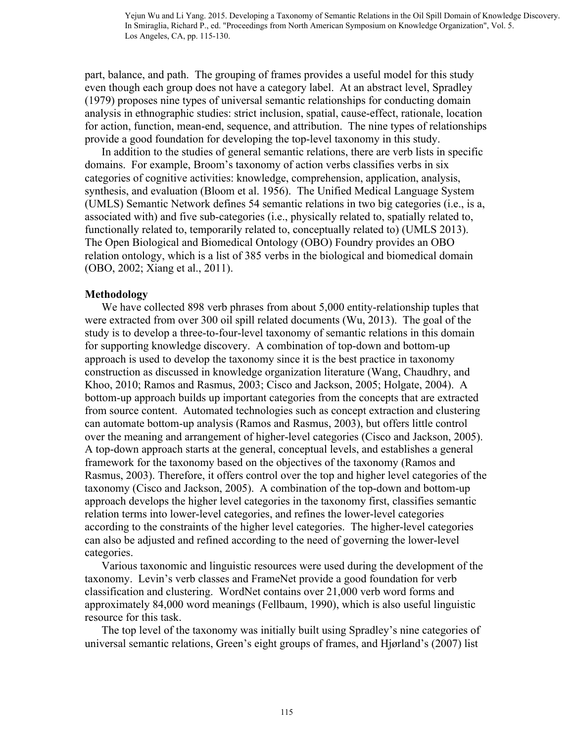part, balance, and path. The grouping of frames provides a useful model for this study even though each group does not have a category label. At an abstract level, Spradley (1979) proposes nine types of universal semantic relationships for conducting domain analysis in ethnographic studies: strict inclusion, spatial, cause-effect, rationale, location for action, function, mean-end, sequence, and attribution. The nine types of relationships provide a good foundation for developing the top-level taxonomy in this study.

 In addition to the studies of general semantic relations, there are verb lists in specific domains. For example, Broom's taxonomy of action verbs classifies verbs in six categories of cognitive activities: knowledge, comprehension, application, analysis, synthesis, and evaluation (Bloom et al. 1956). The Unified Medical Language System (UMLS) Semantic Network defines 54 semantic relations in two big categories (i.e., is a, associated with) and five sub-categories (i.e., physically related to, spatially related to, functionally related to, temporarily related to, conceptually related to) (UMLS 2013). The Open Biological and Biomedical Ontology (OBO) Foundry provides an OBO relation ontology, which is a list of 385 verbs in the biological and biomedical domain (OBO, 2002; Xiang et al., 2011).

### **Methodology**

We have collected 898 verb phrases from about 5,000 entity-relationship tuples that were extracted from over 300 oil spill related documents (Wu, 2013). The goal of the study is to develop a three-to-four-level taxonomy of semantic relations in this domain for supporting knowledge discovery. A combination of top-down and bottom-up approach is used to develop the taxonomy since it is the best practice in taxonomy construction as discussed in knowledge organization literature (Wang, Chaudhry, and Khoo, 2010; Ramos and Rasmus, 2003; Cisco and Jackson, 2005; Holgate, 2004). A bottom-up approach builds up important categories from the concepts that are extracted from source content. Automated technologies such as concept extraction and clustering can automate bottom-up analysis (Ramos and Rasmus, 2003), but offers little control over the meaning and arrangement of higher-level categories (Cisco and Jackson, 2005). A top-down approach starts at the general, conceptual levels, and establishes a general framework for the taxonomy based on the objectives of the taxonomy (Ramos and Rasmus, 2003). Therefore, it offers control over the top and higher level categories of the taxonomy (Cisco and Jackson, 2005). A combination of the top-down and bottom-up approach develops the higher level categories in the taxonomy first, classifies semantic relation terms into lower-level categories, and refines the lower-level categories according to the constraints of the higher level categories. The higher-level categories can also be adjusted and refined according to the need of governing the lower-level categories.

 Various taxonomic and linguistic resources were used during the development of the taxonomy. Levin's verb classes and FrameNet provide a good foundation for verb classification and clustering. WordNet contains over 21,000 verb word forms and approximately 84,000 word meanings (Fellbaum, 1990), which is also useful linguistic resource for this task.

 The top level of the taxonomy was initially built using Spradley's nine categories of universal semantic relations, Green's eight groups of frames, and Hjørland's (2007) list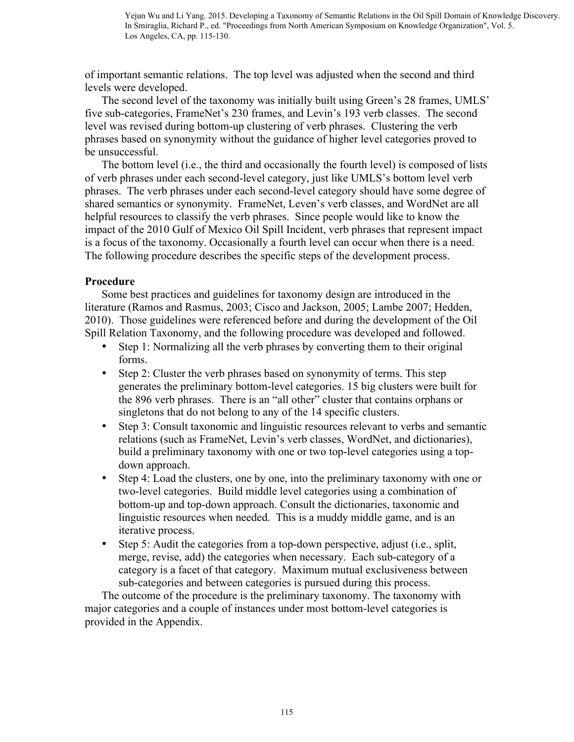of important semantic relations. The top level was adjusted when the second and third levels were developed.

 The second level of the taxonomy was initially built using Green's 28 frames, UMLS' five sub-categories, FrameNet's 230 frames, and Levin's 193 verb classes. The second level was revised during bottom-up clustering of verb phrases. Clustering the verb phrases based on synonymity without the guidance of higher level categories proved to be unsuccessful.

 The bottom level (i.e., the third and occasionally the fourth level) is composed of lists of verb phrases under each second-level category, just like UMLS's bottom level verb phrases. The verb phrases under each second-level category should have some degree of shared semantics or synonymity. FrameNet, Leven's verb classes, and WordNet are all helpful resources to classify the verb phrases. Since people would like to know the impact of the 2010 Gulf of Mexico Oil Spill Incident, verb phrases that represent impact is a focus of the taxonomy. Occasionally a fourth level can occur when there is a need. The following procedure describes the specific steps of the development process.

# **Procedure**

 Some best practices and guidelines for taxonomy design are introduced in the literature (Ramos and Rasmus, 2003; Cisco and Jackson, 2005; Lambe 2007; Hedden, 2010). Those guidelines were referenced before and during the development of the Oil Spill Relation Taxonomy, and the following procedure was developed and followed.

- Step 1: Normalizing all the verb phrases by converting them to their original forms.
- Step 2: Cluster the verb phrases based on synonymity of terms. This step generates the preliminary bottom-level categories. 15 big clusters were built for the 896 verb phrases. There is an "all other" cluster that contains orphans or singletons that do not belong to any of the 14 specific clusters.
- Step 3: Consult taxonomic and linguistic resources relevant to verbs and semantic relations (such as FrameNet, Levin's verb classes, WordNet, and dictionaries), build a preliminary taxonomy with one or two top-level categories using a topdown approach.
- Step 4: Load the clusters, one by one, into the preliminary taxonomy with one or two-level categories. Build middle level categories using a combination of bottom-up and top-down approach. Consult the dictionaries, taxonomic and linguistic resources when needed. This is a muddy middle game, and is an iterative process.
- Step 5: Audit the categories from a top-down perspective, adjust (i.e., split, merge, revise, add) the categories when necessary. Each sub-category of a category is a facet of that category. Maximum mutual exclusiveness between sub-categories and between categories is pursued during this process.

 The outcome of the procedure is the preliminary taxonomy. The taxonomy with major categories and a couple of instances under most bottom-level categories is provided in the Appendix.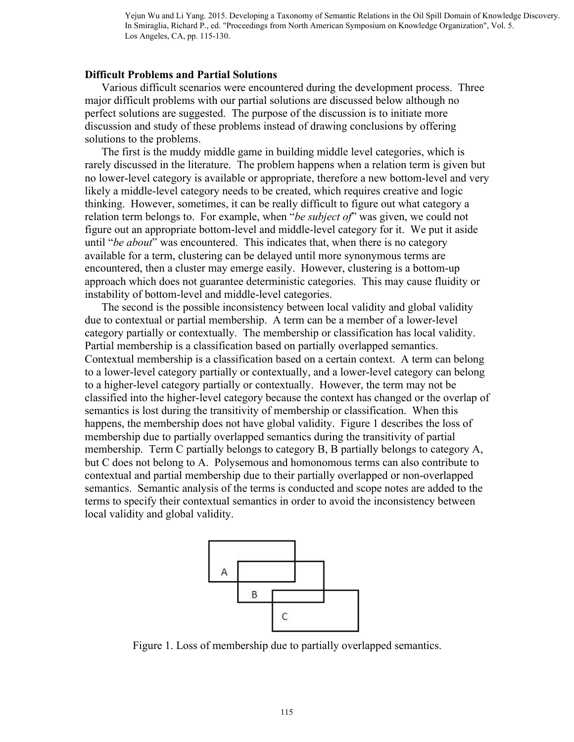#### **Difficult Problems and Partial Solutions**

Various difficult scenarios were encountered during the development process. Three major difficult problems with our partial solutions are discussed below although no perfect solutions are suggested. The purpose of the discussion is to initiate more discussion and study of these problems instead of drawing conclusions by offering solutions to the problems.

 The first is the muddy middle game in building middle level categories, which is rarely discussed in the literature. The problem happens when a relation term is given but no lower-level category is available or appropriate, therefore a new bottom-level and very likely a middle-level category needs to be created, which requires creative and logic thinking. However, sometimes, it can be really difficult to figure out what category a relation term belongs to. For example, when "*be subject of*" was given, we could not figure out an appropriate bottom-level and middle-level category for it. We put it aside until "*be about*" was encountered. This indicates that, when there is no category available for a term, clustering can be delayed until more synonymous terms are encountered, then a cluster may emerge easily. However, clustering is a bottom-up approach which does not guarantee deterministic categories. This may cause fluidity or instability of bottom-level and middle-level categories.

 The second is the possible inconsistency between local validity and global validity due to contextual or partial membership. A term can be a member of a lower-level category partially or contextually. The membership or classification has local validity. Partial membership is a classification based on partially overlapped semantics. Contextual membership is a classification based on a certain context. A term can belong to a lower-level category partially or contextually, and a lower-level category can belong to a higher-level category partially or contextually. However, the term may not be classified into the higher-level category because the context has changed or the overlap of semantics is lost during the transitivity of membership or classification. When this happens, the membership does not have global validity. Figure 1 describes the loss of membership due to partially overlapped semantics during the transitivity of partial membership. Term C partially belongs to category B, B partially belongs to category A, but C does not belong to A. Polysemous and homonomous terms can also contribute to contextual and partial membership due to their partially overlapped or non-overlapped semantics. Semantic analysis of the terms is conducted and scope notes are added to the terms to specify their contextual semantics in order to avoid the inconsistency between local validity and global validity.



Figure 1. Loss of membership due to partially overlapped semantics.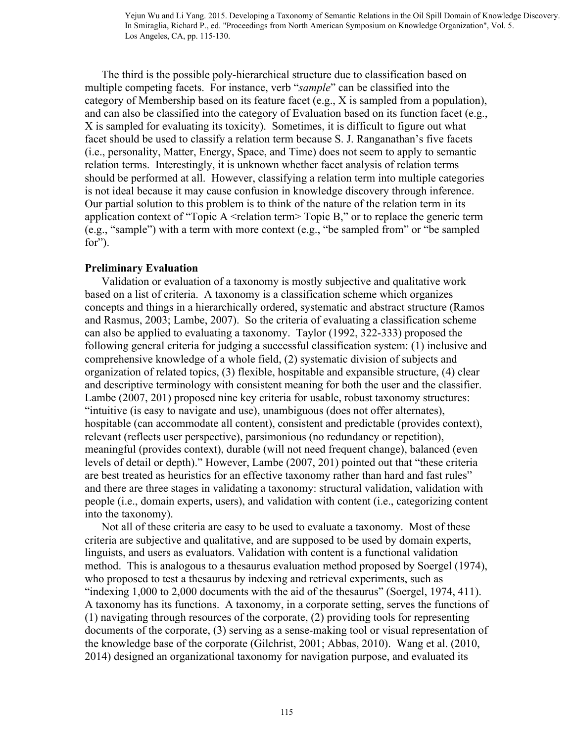The third is the possible poly-hierarchical structure due to classification based on multiple competing facets. For instance, verb "*sample*" can be classified into the category of Membership based on its feature facet (e.g., X is sampled from a population), and can also be classified into the category of Evaluation based on its function facet (e.g., X is sampled for evaluating its toxicity). Sometimes, it is difficult to figure out what facet should be used to classify a relation term because S. J. Ranganathan's five facets (i.e., personality, Matter, Energy, Space, and Time) does not seem to apply to semantic relation terms. Interestingly, it is unknown whether facet analysis of relation terms should be performed at all. However, classifying a relation term into multiple categories is not ideal because it may cause confusion in knowledge discovery through inference. Our partial solution to this problem is to think of the nature of the relation term in its application context of "Topic A  $\leq$  relation term $\geq$  Topic B," or to replace the generic term (e.g., "sample") with a term with more context (e.g., "be sampled from" or "be sampled for").

# **Preliminary Evaluation**

Validation or evaluation of a taxonomy is mostly subjective and qualitative work based on a list of criteria. A taxonomy is a classification scheme which organizes concepts and things in a hierarchically ordered, systematic and abstract structure (Ramos and Rasmus, 2003; Lambe, 2007). So the criteria of evaluating a classification scheme can also be applied to evaluating a taxonomy. Taylor (1992, 322-333) proposed the following general criteria for judging a successful classification system: (1) inclusive and comprehensive knowledge of a whole field, (2) systematic division of subjects and organization of related topics, (3) flexible, hospitable and expansible structure, (4) clear and descriptive terminology with consistent meaning for both the user and the classifier. Lambe (2007, 201) proposed nine key criteria for usable, robust taxonomy structures: "intuitive (is easy to navigate and use), unambiguous (does not offer alternates), hospitable (can accommodate all content), consistent and predictable (provides context), relevant (reflects user perspective), parsimonious (no redundancy or repetition), meaningful (provides context), durable (will not need frequent change), balanced (even levels of detail or depth)." However, Lambe (2007, 201) pointed out that "these criteria are best treated as heuristics for an effective taxonomy rather than hard and fast rules" and there are three stages in validating a taxonomy: structural validation, validation with people (i.e., domain experts, users), and validation with content (i.e., categorizing content into the taxonomy).

 Not all of these criteria are easy to be used to evaluate a taxonomy. Most of these criteria are subjective and qualitative, and are supposed to be used by domain experts, linguists, and users as evaluators. Validation with content is a functional validation method. This is analogous to a thesaurus evaluation method proposed by Soergel (1974), who proposed to test a thesaurus by indexing and retrieval experiments, such as "indexing 1,000 to 2,000 documents with the aid of the thesaurus" (Soergel, 1974, 411). A taxonomy has its functions. A taxonomy, in a corporate setting, serves the functions of (1) navigating through resources of the corporate, (2) providing tools for representing documents of the corporate, (3) serving as a sense-making tool or visual representation of the knowledge base of the corporate (Gilchrist, 2001; Abbas, 2010). Wang et al. (2010, 2014) designed an organizational taxonomy for navigation purpose, and evaluated its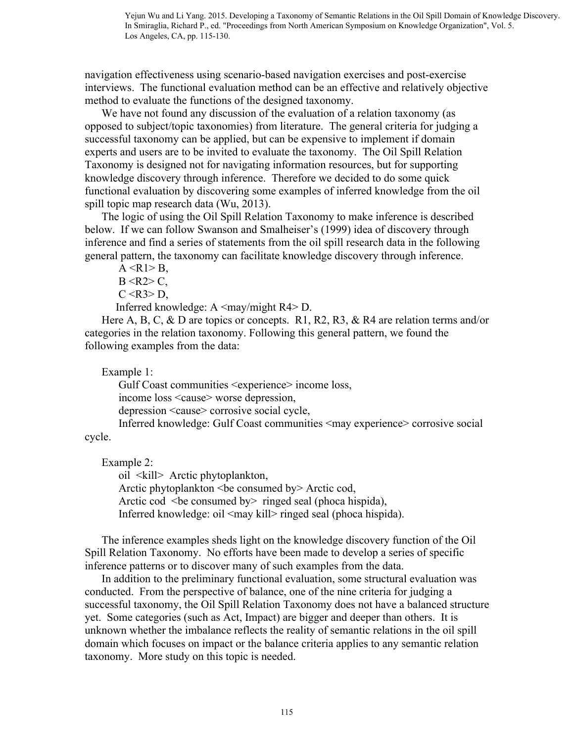navigation effectiveness using scenario-based navigation exercises and post-exercise interviews. The functional evaluation method can be an effective and relatively objective method to evaluate the functions of the designed taxonomy.

 We have not found any discussion of the evaluation of a relation taxonomy (as opposed to subject/topic taxonomies) from literature. The general criteria for judging a successful taxonomy can be applied, but can be expensive to implement if domain experts and users are to be invited to evaluate the taxonomy. The Oil Spill Relation Taxonomy is designed not for navigating information resources, but for supporting knowledge discovery through inference. Therefore we decided to do some quick functional evaluation by discovering some examples of inferred knowledge from the oil spill topic map research data (Wu, 2013).

 The logic of using the Oil Spill Relation Taxonomy to make inference is described below. If we can follow Swanson and Smalheiser's (1999) idea of discovery through inference and find a series of statements from the oil spill research data in the following general pattern, the taxonomy can facilitate knowledge discovery through inference.

 $A < R1 > B$ ,  $B < R2 > C$ ,  $C < R3 > D$ ,

Inferred knowledge:  $A \leq$ may/might R4> D.

Here A, B, C, & D are topics or concepts. R1, R2, R3, & R4 are relation terms and/or categories in the relation taxonomy. Following this general pattern, we found the following examples from the data:

Example 1:

 Gulf Coast communities <experience> income loss, income loss <cause> worse depression, depression <cause> corrosive social cycle, Inferred knowledge: Gulf Coast communities <may experience> corrosive social

cycle.

Example 2:

 oil <kill> Arctic phytoplankton, Arctic phytoplankton <be consumed by> Arctic cod, Arctic cod  $\leq$ be consumed by $>$  ringed seal (phoca hispida), Inferred knowledge: oil  $\langle$ may kill $\rangle$  ringed seal (phoca hispida).

 The inference examples sheds light on the knowledge discovery function of the Oil Spill Relation Taxonomy. No efforts have been made to develop a series of specific inference patterns or to discover many of such examples from the data.

 In addition to the preliminary functional evaluation, some structural evaluation was conducted. From the perspective of balance, one of the nine criteria for judging a successful taxonomy, the Oil Spill Relation Taxonomy does not have a balanced structure yet. Some categories (such as Act, Impact) are bigger and deeper than others. It is unknown whether the imbalance reflects the reality of semantic relations in the oil spill domain which focuses on impact or the balance criteria applies to any semantic relation taxonomy. More study on this topic is needed.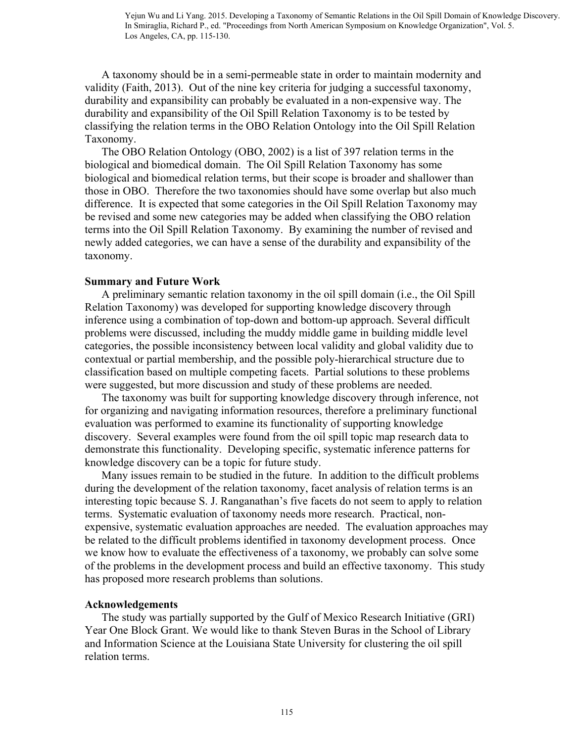A taxonomy should be in a semi-permeable state in order to maintain modernity and validity (Faith, 2013). Out of the nine key criteria for judging a successful taxonomy, durability and expansibility can probably be evaluated in a non-expensive way. The durability and expansibility of the Oil Spill Relation Taxonomy is to be tested by classifying the relation terms in the OBO Relation Ontology into the Oil Spill Relation Taxonomy.

 The OBO Relation Ontology (OBO, 2002) is a list of 397 relation terms in the biological and biomedical domain. The Oil Spill Relation Taxonomy has some biological and biomedical relation terms, but their scope is broader and shallower than those in OBO. Therefore the two taxonomies should have some overlap but also much difference. It is expected that some categories in the Oil Spill Relation Taxonomy may be revised and some new categories may be added when classifying the OBO relation terms into the Oil Spill Relation Taxonomy. By examining the number of revised and newly added categories, we can have a sense of the durability and expansibility of the taxonomy.

### **Summary and Future Work**

A preliminary semantic relation taxonomy in the oil spill domain (i.e., the Oil Spill Relation Taxonomy) was developed for supporting knowledge discovery through inference using a combination of top-down and bottom-up approach. Several difficult problems were discussed, including the muddy middle game in building middle level categories, the possible inconsistency between local validity and global validity due to contextual or partial membership, and the possible poly-hierarchical structure due to classification based on multiple competing facets. Partial solutions to these problems were suggested, but more discussion and study of these problems are needed.

The taxonomy was built for supporting knowledge discovery through inference, not for organizing and navigating information resources, therefore a preliminary functional evaluation was performed to examine its functionality of supporting knowledge discovery. Several examples were found from the oil spill topic map research data to demonstrate this functionality. Developing specific, systematic inference patterns for knowledge discovery can be a topic for future study.

 Many issues remain to be studied in the future. In addition to the difficult problems during the development of the relation taxonomy, facet analysis of relation terms is an interesting topic because S. J. Ranganathan's five facets do not seem to apply to relation terms. Systematic evaluation of taxonomy needs more research. Practical, nonexpensive, systematic evaluation approaches are needed. The evaluation approaches may be related to the difficult problems identified in taxonomy development process. Once we know how to evaluate the effectiveness of a taxonomy, we probably can solve some of the problems in the development process and build an effective taxonomy. This study has proposed more research problems than solutions.

### **Acknowledgements**

 The study was partially supported by the Gulf of Mexico Research Initiative (GRI) Year One Block Grant. We would like to thank Steven Buras in the School of Library and Information Science at the Louisiana State University for clustering the oil spill relation terms.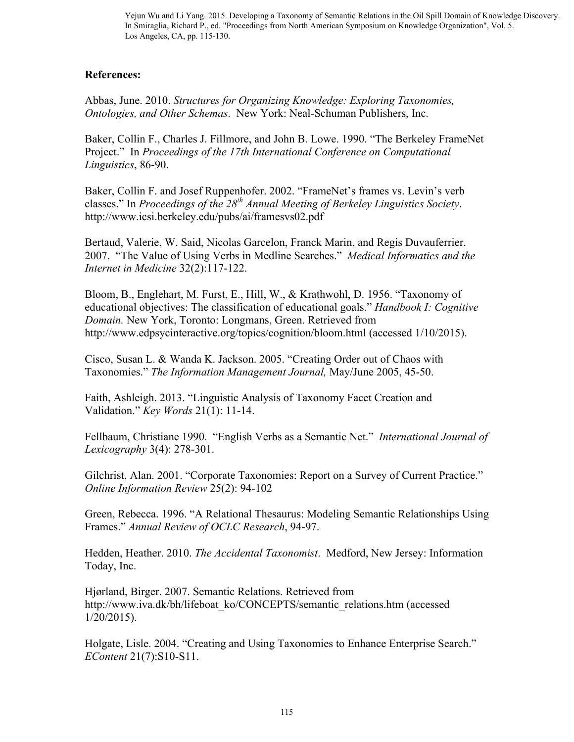## **References:**

Abbas, June. 2010. *Structures for Organizing Knowledge: Exploring Taxonomies, Ontologies, and Other Schemas*. New York: Neal-Schuman Publishers, Inc.

Baker, Collin F., Charles J. Fillmore, and John B. Lowe. 1990. "The Berkeley FrameNet Project." In *Proceedings of the 17th International Conference on Computational Linguistics*, 86-90.

Baker, Collin F. and Josef Ruppenhofer. 2002. "FrameNet's frames vs. Levin's verb classes." In *Proceedings of the 28th Annual Meeting of Berkeley Linguistics Society*. http://www.icsi.berkeley.edu/pubs/ai/framesvs02.pdf

Bertaud, Valerie, W. Said, Nicolas Garcelon, Franck Marin, and Regis Duvauferrier. 2007. "The Value of Using Verbs in Medline Searches." *Medical Informatics and the Internet in Medicine* 32(2):117-122.

Bloom, B., Englehart, M. Furst, E., Hill, W., & Krathwohl, D. 1956. "Taxonomy of educational objectives: The classification of educational goals." *Handbook I: Cognitive Domain.* New York, Toronto: Longmans, Green. Retrieved from http://www.edpsycinteractive.org/topics/cognition/bloom.html (accessed 1/10/2015).

Cisco, Susan L. & Wanda K. Jackson. 2005. "Creating Order out of Chaos with Taxonomies." *The Information Management Journal,* May/June 2005, 45-50.

Faith, Ashleigh. 2013. "Linguistic Analysis of Taxonomy Facet Creation and Validation." *Key Words* 21(1): 11-14.

Fellbaum, Christiane 1990. "English Verbs as a Semantic Net." *International Journal of Lexicography* 3(4): 278-301.

Gilchrist, Alan. 2001. "Corporate Taxonomies: Report on a Survey of Current Practice." *Online Information Review* 25(2): 94-102

Green, Rebecca. 1996. "A Relational Thesaurus: Modeling Semantic Relationships Using Frames." *Annual Review of OCLC Research*, 94-97.

Hedden, Heather. 2010. *The Accidental Taxonomist*. Medford, New Jersey: Information Today, Inc.

Hjørland, Birger. 2007. Semantic Relations. Retrieved from http://www.iva.dk/bh/lifeboat\_ko/CONCEPTS/semantic\_relations.htm (accessed 1/20/2015).

Holgate, Lisle. 2004. "Creating and Using Taxonomies to Enhance Enterprise Search." *EContent* 21(7):S10-S11.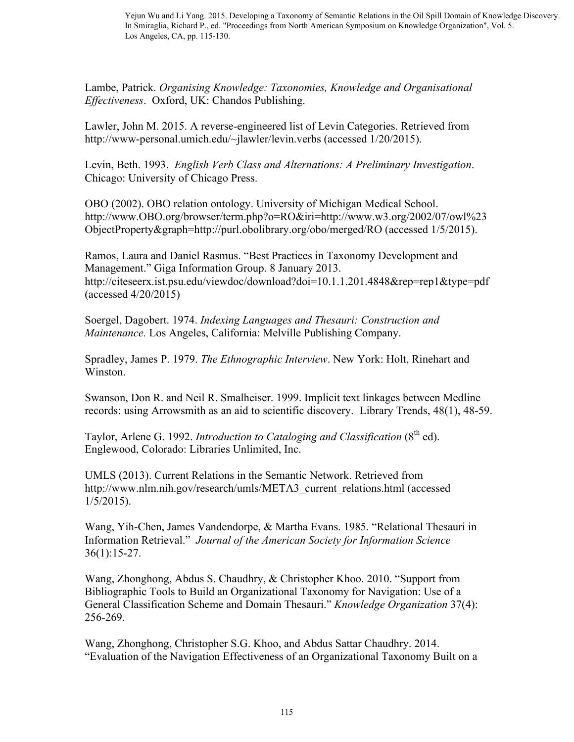Lambe, Patrick. *Organising Knowledge: Taxonomies, Knowledge and Organisational Effectiveness*. Oxford, UK: Chandos Publishing.

Lawler, John M. 2015. A reverse-engineered list of Levin Categories. Retrieved from http://www-personal.umich.edu/~jlawler/levin.verbs (accessed 1/20/2015).

Levin, Beth. 1993. *English Verb Class and Alternations: A Preliminary Investigation*. Chicago: University of Chicago Press.

OBO (2002). OBO relation ontology. University of Michigan Medical School. http://www.OBO.org/browser/term.php?o=RO&iri=http://www.w3.org/2002/07/owl%23 ObjectProperty&graph=http://purl.obolibrary.org/obo/merged/RO (accessed 1/5/2015).

Ramos, Laura and Daniel Rasmus. "Best Practices in Taxonomy Development and Management." Giga Information Group. 8 January 2013. http://citeseerx.ist.psu.edu/viewdoc/download?doi=10.1.1.201.4848&rep=rep1&type=pdf (accessed 4/20/2015)

Soergel, Dagobert. 1974. *Indexing Languages and Thesauri: Construction and Maintenance.* Los Angeles, California: Melville Publishing Company.

Spradley, James P. 1979. *The Ethnographic Interview*. New York: Holt, Rinehart and Winston.

Swanson, Don R. and Neil R. Smalheiser. 1999. Implicit text linkages between Medline records: using Arrowsmith as an aid to scientific discovery. Library Trends, 48(1), 48-59.

Taylor, Arlene G. 1992. *Introduction to Cataloging and Classification* (8<sup>th</sup> ed). Englewood, Colorado: Libraries Unlimited, Inc.

UMLS (2013). Current Relations in the Semantic Network. Retrieved from http://www.nlm.nih.gov/research/umls/META3\_current\_relations.html (accessed  $1/5/2015$ ).

Wang, Yih-Chen, James Vandendorpe, & Martha Evans. 1985. "Relational Thesauri in Information Retrieval." *Journal of the American Society for Information Science* 36(1):15-27.

Wang, Zhonghong, Abdus S. Chaudhry, & Christopher Khoo. 2010. "Support from Bibliographic Tools to Build an Organizational Taxonomy for Navigation: Use of a General Classification Scheme and Domain Thesauri." *Knowledge Organization* 37(4): 256-269.

Wang, Zhonghong, Christopher S.G. Khoo, and Abdus Sattar Chaudhry. 2014. "Evaluation of the Navigation Effectiveness of an Organizational Taxonomy Built on a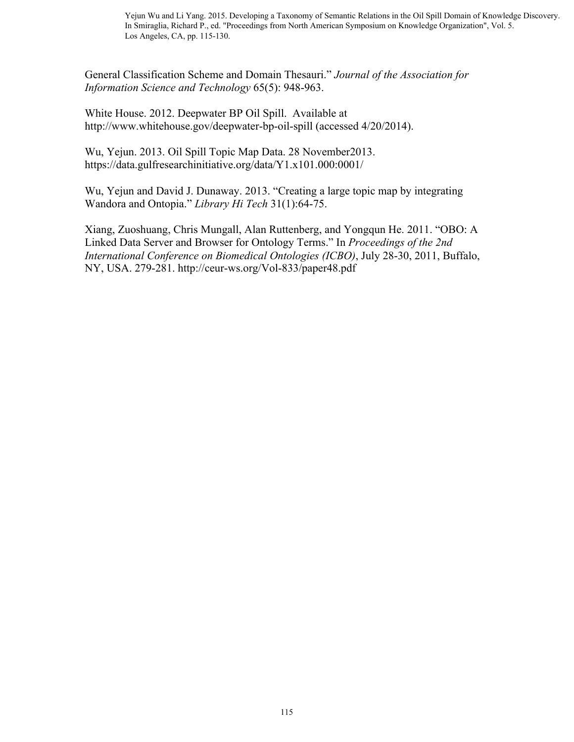General Classification Scheme and Domain Thesauri." *Journal of the Association for Information Science and Technology* 65(5): 948-963.

White House. 2012. Deepwater BP Oil Spill. Available at http://www.whitehouse.gov/deepwater-bp-oil-spill (accessed 4/20/2014).

Wu, Yejun. 2013. Oil Spill Topic Map Data. 28 November2013. https://data.gulfresearchinitiative.org/data/Y1.x101.000:0001/

Wu, Yejun and David J. Dunaway. 2013. "Creating a large topic map by integrating Wandora and Ontopia." *Library Hi Tech* 31(1):64-75.

Xiang, Zuoshuang, Chris Mungall, Alan Ruttenberg, and Yongqun He. 2011. "OBO: A Linked Data Server and Browser for Ontology Terms." In *Proceedings of the 2nd International Conference on Biomedical Ontologies (ICBO)*, July 28-30, 2011, Buffalo, NY, USA. 279-281. http://ceur-ws.org/Vol-833/paper48.pdf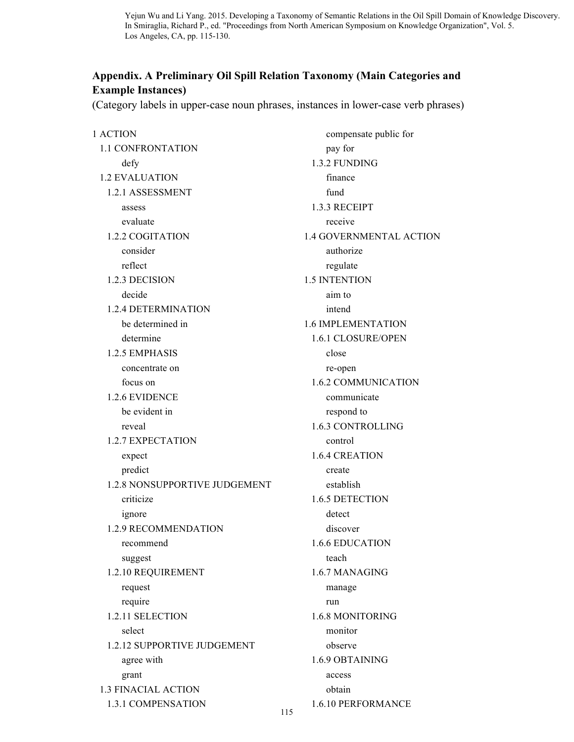# **Appendix. A Preliminary Oil Spill Relation Taxonomy (Main Categories and Example Instances)**

(Category labels in upper-case noun phrases, instances in lower-case verb phrases)

1 ACTION 1.1 CONFRONTATION defy 1.2 EVALUATION 1.2.1 ASSESSMENT assess evaluate 1.2.2 COGITATION consider reflect 1.2.3 DECISION decide 1.2.4 DETERMINATION be determined in determine 1.2.5 EMPHASIS concentrate on focus on 1.2.6 EVIDENCE be evident in reveal 1.2.7 EXPECTATION expect predict 1.2.8 NONSUPPORTIVE JUDGEMENT criticize ignore 1.2.9 RECOMMENDATION recommend suggest 1.2.10 REQUIREMENT request require 1.2.11 SELECTION select 1.2.12 SUPPORTIVE JUDGEMENT agree with grant 1.3 FINACIAL ACTION 1.3.1 COMPENSATION

 compensate public for pay for 1.3.2 FUNDING finance fund 1.3.3 RECEIPT receive 1.4 GOVERNMENTAL ACTION authorize regulate 1.5 INTENTION aim to intend 1.6 IMPLEMENTATION 1.6.1 CLOSURE/OPEN close re-open 1.6.2 COMMUNICATION communicate respond to 1.6.3 CONTROLLING control 1.6.4 CREATION create establish 1.6.5 DETECTION detect discover 1.6.6 EDUCATION teach 1.6.7 MANAGING manage run 1.6.8 MONITORING monitor observe 1.6.9 OBTAINING access obtain 1.6.10 PERFORMANCE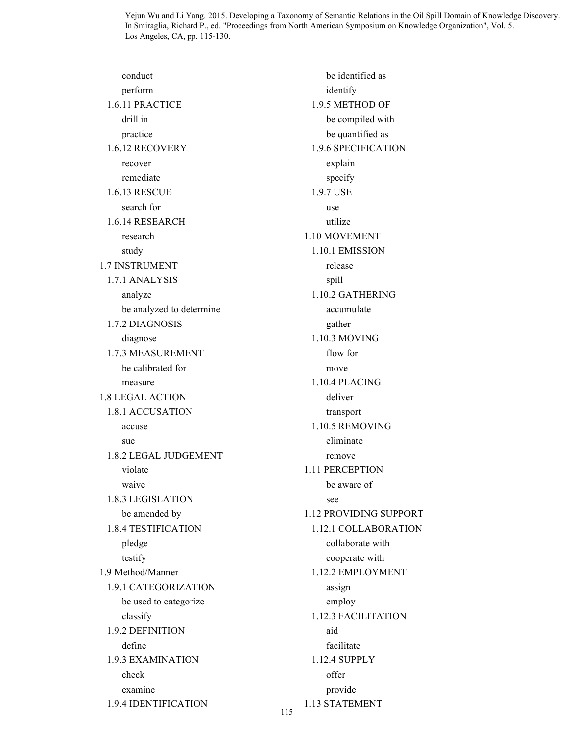conduct perform 1.6.11 PRACTICE drill in practice 1.6.12 RECOVERY recover remediate 1.6.13 RESCUE search for 1.6.14 RESEARCH research study 1.7 INSTRUMENT 1.7.1 ANALYSIS analyze be analyzed to determine 1.7.2 DIAGNOSIS diagnose 1.7.3 MEASUREMENT be calibrated for measure 1.8 LEGAL ACTION 1.8.1 ACCUSATION accuse sue 1.8.2 LEGAL JUDGEMENT violate waive 1.8.3 LEGISLATION be amended by 1.8.4 TESTIFICATION pledge testify 1.9 Method/Manner 1.9.1 CATEGORIZATION be used to categorize classify 1.9.2 DEFINITION define 1.9.3 EXAMINATION check examine 1.9.4 IDENTIFICATION

 be identified as identify 1.9.5 METHOD OF be compiled with be quantified as 1.9.6 SPECIFICATION explain specify 1.9.7 USE use utilize 1.10 MOVEMENT 1.10.1 EMISSION release spill 1.10.2 GATHERING accumulate gather 1.10.3 MOVING flow for move 1.10.4 PLACING deliver transport 1.10.5 REMOVING eliminate remove 1.11 PERCEPTION be aware of see 1.12 PROVIDING SUPPORT 1.12.1 COLLABORATION collaborate with cooperate with 1.12.2 EMPLOYMENT assign employ 1.12.3 FACILITATION aid facilitate 1.12.4 SUPPLY offer provide 1.13 STATEMENT

115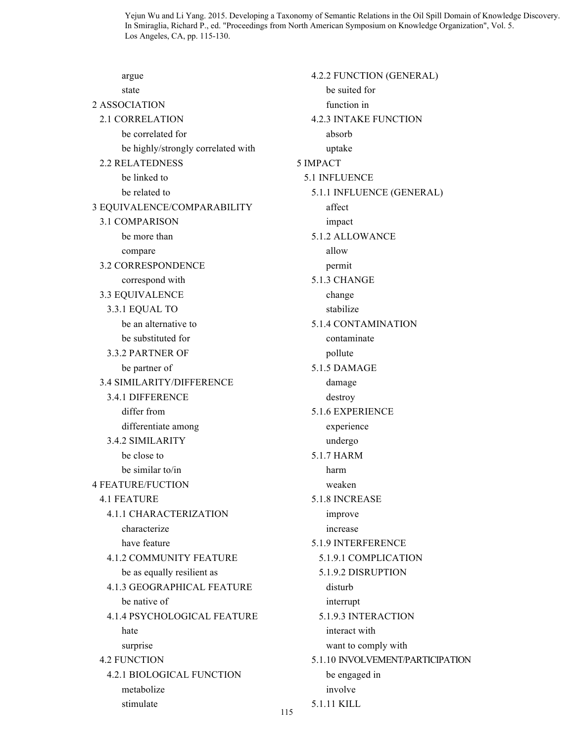argue state 2 ASSOCIATION 2.1 CORRELATION be correlated for be highly/strongly correlated with 2.2 RELATEDNESS be linked to be related to 3 EQUIVALENCE/COMPARABILITY 3.1 COMPARISON be more than compare 3.2 CORRESPONDENCE correspond with 3.3 EQUIVALENCE 3.3.1 EQUAL TO be an alternative to be substituted for 3.3.2 PARTNER OF be partner of 3.4 SIMILARITY/DIFFERENCE 3.4.1 DIFFERENCE differ from differentiate among 3.4.2 SIMILARITY be close to be similar to/in 4 FEATURE/FUCTION 4.1 FEATURE 4.1.1 CHARACTERIZATION characterize have feature 4.1.2 COMMUNITY FEATURE be as equally resilient as 4.1.3 GEOGRAPHICAL FEATURE be native of 4.1.4 PSYCHOLOGICAL FEATURE hate surprise 4.2 FUNCTION 4.2.1 BIOLOGICAL FUNCTION metabolize stimulate

 4.2.2 FUNCTION (GENERAL) be suited for function in 4.2.3 INTAKE FUNCTION absorb uptake 5 IMPACT 5.1 INFLUENCE 5.1.1 INFLUENCE (GENERAL) affect impact 5.1.2 ALLOWANCE allow permit 5.1.3 CHANGE change stabilize 5.1.4 CONTAMINATION contaminate pollute 5.1.5 DAMAGE damage destroy 5.1.6 EXPERIENCE experience undergo 5.1.7 HARM harm weaken 5.1.8 INCREASE improve increase 5.1.9 INTERFERENCE 5.1.9.1 COMPLICATION 5.1.9.2 DISRUPTION disturb interrupt 5.1.9.3 INTERACTION interact with want to comply with 5.1.10 INVOLVEMENT/PARTICIPATION be engaged in involve 5.1.11 KILL

115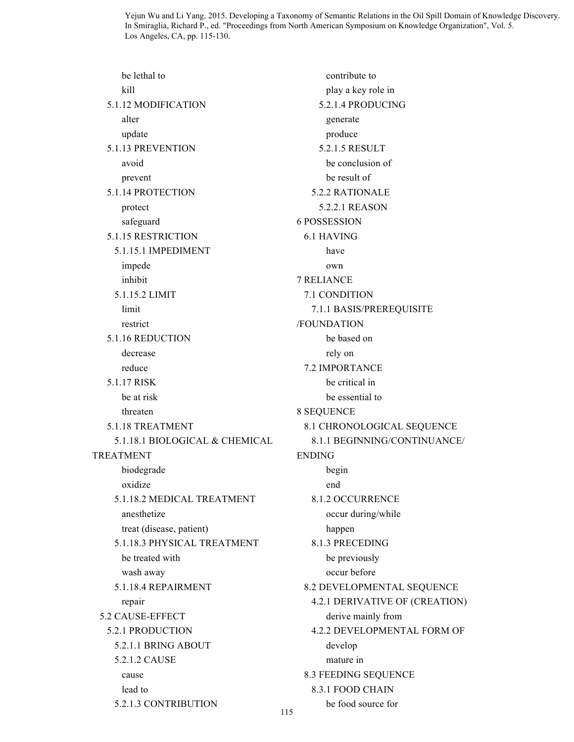be lethal to kill 5.1.12 MODIFICATION alter update 5.1.13 PREVENTION avoid prevent 5.1.14 PROTECTION protect safeguard 5.1.15 RESTRICTION 5.1.15.1 IMPEDIMENT impede inhibit 5.1.15.2 LIMIT limit restrict 5.1.16 REDUCTION decrease reduce 5.1.17 RISK be at risk threaten 5.1.18 TREATMENT 5.1.18.1 BIOLOGICAL & CHEMICAL TREATMENT biodegrade oxidize 5.1.18.2 MEDICAL TREATMENT anesthetize treat (disease, patient) 5.1.18.3 PHYSICAL TREATMENT be treated with wash away 5.1.18.4 REPAIRMENT repair 5.2 CAUSE-EFFECT 5.2.1 PRODUCTION 5.2.1.1 BRING ABOUT 5.2.1.2 CAUSE cause lead to 5.2.1.3 CONTRIBUTION generate produce 6 POSSESSION 6.1 HAVING have own 7 RELIANCE /FOUNDATION rely on 8 SEQUENCE ENDING begin end happen develop mature in 8.3.1 FOOD CHAIN

 contribute to play a key role in 5.2.1.4 PRODUCING 5.2.1.5 RESULT be conclusion of be result of 5.2.2 RATIONALE 5.2.2.1 REASON 7.1 CONDITION 7.1.1 BASIS/PREREQUISITE be based on 7.2 IMPORTANCE be critical in be essential to 8.1 CHRONOLOGICAL SEQUENCE 8.1.1 BEGINNING/CONTINUANCE/ 8.1.2 OCCURRENCE occur during/while 8.1.3 PRECEDING be previously occur before 8.2 DEVELOPMENTAL SEQUENCE 4.2.1 DERIVATIVE OF (CREATION) derive mainly from 4.2.2 DEVELOPMENTAL FORM OF 8.3 FEEDING SEQUENCE

be food source for